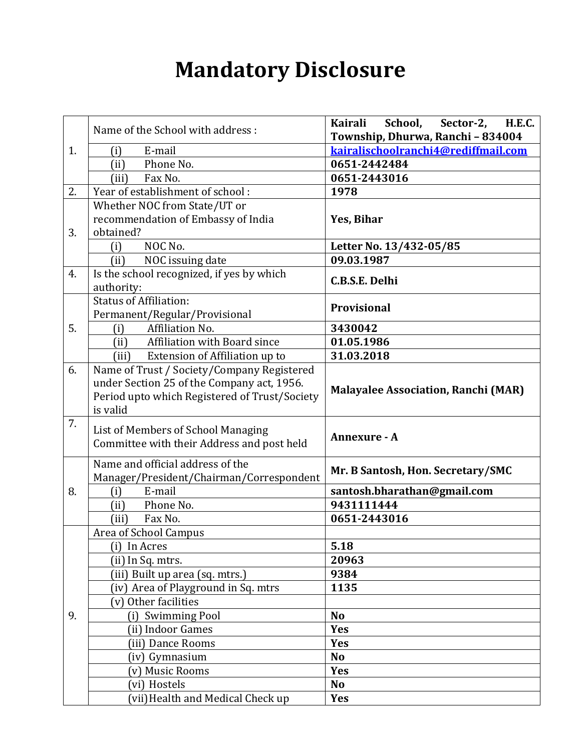## **Mandatory Disclosure**

|    | Name of the School with address:              | School,<br>Kairali<br>Sector-2,<br><b>H.E.C.</b> |  |  |  |  |
|----|-----------------------------------------------|--------------------------------------------------|--|--|--|--|
|    |                                               | Township, Dhurwa, Ranchi - 834004                |  |  |  |  |
| 1. | E-mail<br>(i)                                 | kairalischoolranchi4@rediffmail.com              |  |  |  |  |
|    | Phone No.<br>(ii)                             | 0651-2442484                                     |  |  |  |  |
|    | Fax No.<br>(iii)                              | 0651-2443016                                     |  |  |  |  |
| 2. | Year of establishment of school:              | 1978                                             |  |  |  |  |
|    | Whether NOC from State/UT or                  |                                                  |  |  |  |  |
|    | recommendation of Embassy of India            | Yes, Bihar                                       |  |  |  |  |
| 3. | obtained?                                     |                                                  |  |  |  |  |
|    | NOC No.<br>(i)                                | Letter No. 13/432-05/85                          |  |  |  |  |
|    | NOC issuing date<br>(ii)                      | 09.03.1987                                       |  |  |  |  |
| 4. | Is the school recognized, if yes by which     | C.B.S.E. Delhi                                   |  |  |  |  |
|    | authority:                                    |                                                  |  |  |  |  |
|    | <b>Status of Affiliation:</b>                 | <b>Provisional</b>                               |  |  |  |  |
|    | Permanent/Regular/Provisional                 |                                                  |  |  |  |  |
| 5. | Affiliation No.<br>(i)                        | 3430042                                          |  |  |  |  |
|    | Affiliation with Board since<br>(ii)          | 01.05.1986                                       |  |  |  |  |
|    | Extension of Affiliation up to<br>(iii)       | 31.03.2018                                       |  |  |  |  |
| 6. | Name of Trust / Society/Company Registered    |                                                  |  |  |  |  |
|    | under Section 25 of the Company act, 1956.    | <b>Malayalee Association, Ranchi (MAR)</b>       |  |  |  |  |
|    | Period upto which Registered of Trust/Society |                                                  |  |  |  |  |
|    | is valid                                      |                                                  |  |  |  |  |
| 7. | List of Members of School Managing            |                                                  |  |  |  |  |
|    | Committee with their Address and post held    | Annexure - A                                     |  |  |  |  |
|    |                                               |                                                  |  |  |  |  |
|    | Name and official address of the              | Mr. B Santosh, Hon. Secretary/SMC                |  |  |  |  |
|    | Manager/President/Chairman/Correspondent      |                                                  |  |  |  |  |
| 8. | E-mail<br>(i)                                 | santosh.bharathan@gmail.com                      |  |  |  |  |
|    | Phone No.<br>(ii)                             | 9431111444                                       |  |  |  |  |
|    | Fax No.<br>(iii)                              | 0651-2443016                                     |  |  |  |  |
|    | Area of School Campus                         |                                                  |  |  |  |  |
|    | (i) In Acres                                  | 5.18                                             |  |  |  |  |
|    | (ii) In Sq. mtrs.                             | 20963                                            |  |  |  |  |
|    | (iii) Built up area (sq. mtrs.)               | 9384                                             |  |  |  |  |
|    | (iv) Area of Playground in Sq. mtrs           | 1135                                             |  |  |  |  |
|    | (v) Other facilities                          |                                                  |  |  |  |  |
| 9. | (i) Swimming Pool                             | N <sub>o</sub>                                   |  |  |  |  |
|    | (ii) Indoor Games                             | <b>Yes</b>                                       |  |  |  |  |
|    | (iii) Dance Rooms                             | <b>Yes</b>                                       |  |  |  |  |
|    | (iv) Gymnasium                                | <b>No</b>                                        |  |  |  |  |
|    | (v) Music Rooms                               | <b>Yes</b>                                       |  |  |  |  |
|    | vi) Hostels                                   | <b>No</b>                                        |  |  |  |  |
|    | (vii) Health and Medical Check up             | <b>Yes</b>                                       |  |  |  |  |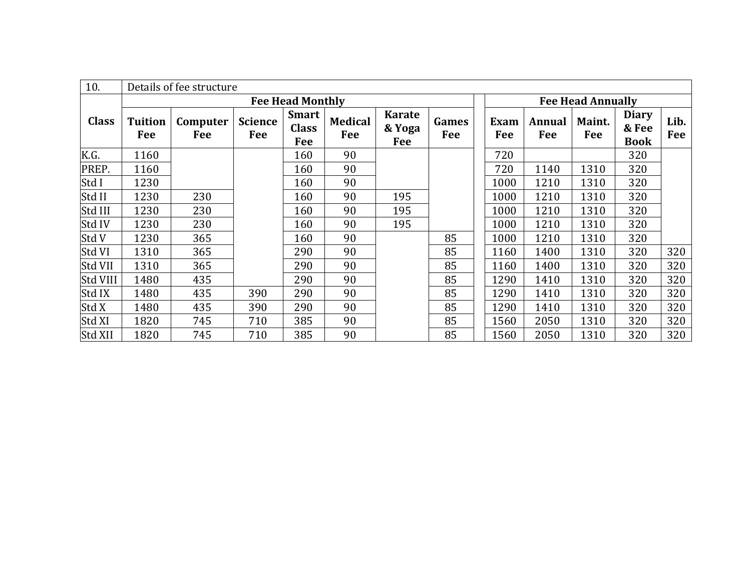| 10.          | Details of fee structure |                 |                       |                                     |                       |                                |                          |             |               |               |                                      |             |
|--------------|--------------------------|-----------------|-----------------------|-------------------------------------|-----------------------|--------------------------------|--------------------------|-------------|---------------|---------------|--------------------------------------|-------------|
|              | <b>Fee Head Monthly</b>  |                 |                       |                                     |                       |                                | <b>Fee Head Annually</b> |             |               |               |                                      |             |
| <b>Class</b> | <b>Tuition</b><br>Fee    | Computer<br>Fee | <b>Science</b><br>Fee | <b>Smart</b><br><b>Class</b><br>Fee | <b>Medical</b><br>Fee | <b>Karate</b><br>& Yoga<br>Fee | Games<br>Fee             | Exam<br>Fee | Annual<br>Fee | Maint.<br>Fee | <b>Diary</b><br>& Fee<br><b>Book</b> | Lib.<br>Fee |
| K.G.         | 1160                     |                 |                       | 160                                 | 90                    |                                |                          | 720         |               |               | 320                                  |             |
| PREP.        | 1160                     |                 |                       | 160                                 | 90                    |                                |                          | 720         | 1140          | 1310          | 320                                  |             |
| Std I        | 1230                     |                 |                       | 160                                 | 90                    |                                |                          | 1000        | 1210          | 1310          | 320                                  |             |
| Std II       | 1230                     | 230             |                       | 160                                 | 90                    | 195                            |                          | 1000        | 1210          | 1310          | 320                                  |             |
| Std III      | 1230                     | 230             |                       | 160                                 | 90                    | 195                            |                          | 1000        | 1210          | 1310          | 320                                  |             |
| Std IV       | 1230                     | 230             |                       | 160                                 | 90                    | 195                            |                          | 1000        | 1210          | 1310          | 320                                  |             |
| Std V        | 1230                     | 365             |                       | 160                                 | 90                    |                                | 85                       | 1000        | 1210          | 1310          | 320                                  |             |
| Std VI       | 1310                     | 365             |                       | 290                                 | 90                    |                                | 85                       | 1160        | 1400          | 1310          | 320                                  | 320         |
| Std VII      | 1310                     | 365             |                       | 290                                 | 90                    |                                | 85                       | 1160        | 1400          | 1310          | 320                                  | 320         |
| Std VIII     | 1480                     | 435             |                       | 290                                 | 90                    |                                | 85                       | 1290        | 1410          | 1310          | 320                                  | 320         |
| Std IX       | 1480                     | 435             | 390                   | 290                                 | 90                    |                                | 85                       | 1290        | 1410          | 1310          | 320                                  | 320         |
| Std X        | 1480                     | 435             | 390                   | 290                                 | 90                    |                                | 85                       | 1290        | 1410          | 1310          | 320                                  | 320         |
| Std XI       | 1820                     | 745             | 710                   | 385                                 | 90                    |                                | 85                       | 1560        | 2050          | 1310          | 320                                  | 320         |
| Std XII      | 1820                     | 745             | 710                   | 385                                 | 90                    |                                | 85                       | 1560        | 2050          | 1310          | 320                                  | 320         |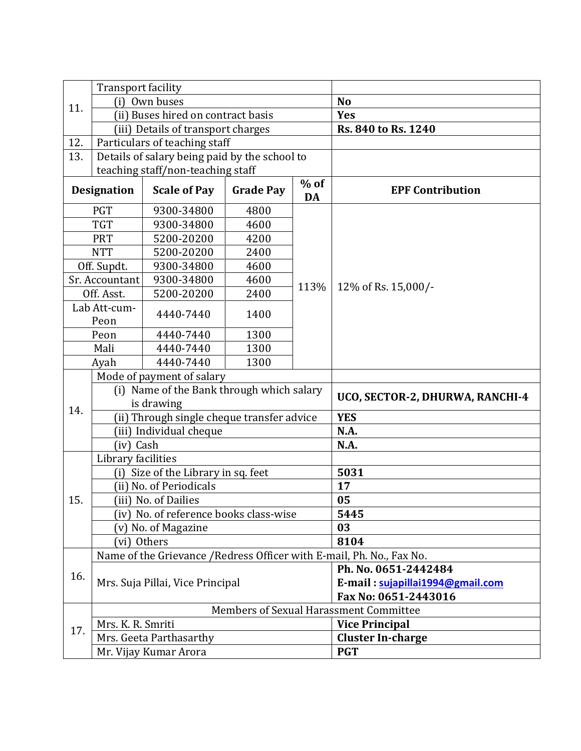|                                                                               | <b>Transport facility</b> |                                               |                         |                                                                       |                      |  |  |  |
|-------------------------------------------------------------------------------|---------------------------|-----------------------------------------------|-------------------------|-----------------------------------------------------------------------|----------------------|--|--|--|
| 11.                                                                           | (i)                       | Own buses                                     |                         | <b>No</b>                                                             |                      |  |  |  |
|                                                                               |                           | (ii) Buses hired on contract basis            |                         | <b>Yes</b>                                                            |                      |  |  |  |
|                                                                               |                           | (iii) Details of transport charges            |                         | Rs. 840 to Rs. 1240                                                   |                      |  |  |  |
| 12.                                                                           |                           | Particulars of teaching staff                 |                         |                                                                       |                      |  |  |  |
| 13.                                                                           |                           | Details of salary being paid by the school to |                         |                                                                       |                      |  |  |  |
|                                                                               |                           | teaching staff/non-teaching staff             |                         |                                                                       |                      |  |  |  |
| $%$ of<br><b>Designation</b><br><b>Scale of Pay</b><br><b>Grade Pay</b><br>DA |                           |                                               | <b>EPF Contribution</b> |                                                                       |                      |  |  |  |
|                                                                               | <b>PGT</b>                | 9300-34800                                    | 4800                    |                                                                       |                      |  |  |  |
|                                                                               | <b>TGT</b>                | 9300-34800                                    | 4600                    |                                                                       |                      |  |  |  |
|                                                                               | <b>PRT</b>                | 5200-20200                                    | 4200                    |                                                                       |                      |  |  |  |
|                                                                               | <b>NTT</b>                | 5200-20200                                    | 2400                    |                                                                       |                      |  |  |  |
|                                                                               | Off. Supdt.               | 9300-34800                                    | 4600                    |                                                                       |                      |  |  |  |
|                                                                               | Sr. Accountant            | 9300-34800                                    | 4600                    |                                                                       |                      |  |  |  |
|                                                                               | Off. Asst.                | 5200-20200                                    | 2400                    | 113%                                                                  | 12% of Rs. 15,000/-  |  |  |  |
|                                                                               | Lab Att-cum-<br>Peon      | 4440-7440                                     | 1400                    |                                                                       |                      |  |  |  |
|                                                                               | Peon                      | 1300<br>4440-7440                             |                         |                                                                       |                      |  |  |  |
|                                                                               | Mali                      | 4440-7440                                     | 1300                    |                                                                       |                      |  |  |  |
|                                                                               | Ayah                      | 4440-7440                                     | 1300                    |                                                                       |                      |  |  |  |
|                                                                               |                           | Mode of payment of salary                     |                         |                                                                       |                      |  |  |  |
|                                                                               |                           | (i) Name of the Bank through which salary     |                         |                                                                       |                      |  |  |  |
|                                                                               |                           | is drawing                                    |                         | UCO, SECTOR-2, DHURWA, RANCHI-4                                       |                      |  |  |  |
| 14.                                                                           |                           | (ii) Through single cheque transfer advice    |                         | <b>YES</b>                                                            |                      |  |  |  |
|                                                                               |                           | (iii) Individual cheque                       |                         | N.A.                                                                  |                      |  |  |  |
|                                                                               | (iv) Cash                 |                                               |                         | N.A.                                                                  |                      |  |  |  |
|                                                                               | Library facilities        |                                               |                         |                                                                       |                      |  |  |  |
|                                                                               | (i)                       | Size of the Library in sq. feet               |                         | 5031                                                                  |                      |  |  |  |
|                                                                               |                           | (ii) No. of Periodicals                       |                         | 17                                                                    |                      |  |  |  |
| 15.                                                                           |                           | (iii) No. of Dailies                          |                         | 05                                                                    |                      |  |  |  |
|                                                                               |                           | (iv) No. of reference books class-wise        |                         | 5445                                                                  |                      |  |  |  |
|                                                                               |                           | (v) No. of Magazine                           |                         | 03                                                                    |                      |  |  |  |
|                                                                               | (vi) Others               |                                               |                         | 8104                                                                  |                      |  |  |  |
|                                                                               |                           |                                               |                         | Name of the Grievance / Redress Officer with E-mail, Ph. No., Fax No. |                      |  |  |  |
| 16.                                                                           |                           |                                               |                         |                                                                       | Ph. No. 0651-2442484 |  |  |  |
|                                                                               |                           | Mrs. Suja Pillai, Vice Principal              |                         | E-mail: sujapillai1994@gmail.com                                      |                      |  |  |  |
|                                                                               |                           |                                               |                         |                                                                       | Fax No: 0651-2443016 |  |  |  |
|                                                                               |                           |                                               |                         | Members of Sexual Harassment Committee                                |                      |  |  |  |
| 17.                                                                           | Mrs. K. R. Smriti         |                                               |                         | <b>Vice Principal</b>                                                 |                      |  |  |  |
|                                                                               |                           | Mrs. Geeta Parthasarthy                       |                         | <b>Cluster In-charge</b>                                              |                      |  |  |  |
|                                                                               |                           | Mr. Vijay Kumar Arora                         |                         | <b>PGT</b>                                                            |                      |  |  |  |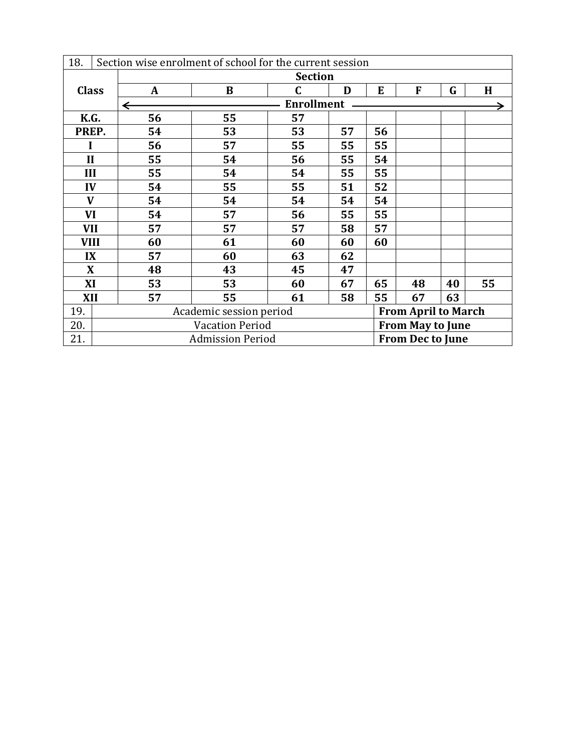| 18.          | Section wise enrolment of school for the current session |                                                       |    |    |    |    |    |    |    |  |
|--------------|----------------------------------------------------------|-------------------------------------------------------|----|----|----|----|----|----|----|--|
|              |                                                          | <b>Section</b>                                        |    |    |    |    |    |    |    |  |
| <b>Class</b> |                                                          | $\mathbf{A}$                                          | B  | C  | D  | E  | F  | G  | H  |  |
|              |                                                          | ←                                                     |    |    |    |    |    |    |    |  |
| K.G.         |                                                          | 56                                                    | 55 | 57 |    |    |    |    |    |  |
| PREP.        |                                                          | 54                                                    | 53 | 53 | 57 | 56 |    |    |    |  |
| I            |                                                          | 56                                                    | 57 | 55 | 55 | 55 |    |    |    |  |
| $\mathbf{I}$ |                                                          | 55                                                    | 54 | 56 | 55 | 54 |    |    |    |  |
| III          |                                                          | 55                                                    | 54 | 54 | 55 | 55 |    |    |    |  |
|              | IV                                                       | 54                                                    | 55 | 55 | 51 | 52 |    |    |    |  |
|              | $\mathbf{V}$                                             | 54                                                    | 54 | 54 | 54 | 54 |    |    |    |  |
| VI           |                                                          | 54                                                    | 57 | 56 | 55 | 55 |    |    |    |  |
| <b>VII</b>   |                                                          | 57                                                    | 57 | 57 | 58 | 57 |    |    |    |  |
|              | <b>VIII</b>                                              | 60                                                    | 61 | 60 | 60 | 60 |    |    |    |  |
| IX           |                                                          | 57                                                    | 60 | 63 | 62 |    |    |    |    |  |
| $\mathbf{X}$ |                                                          | 48                                                    | 43 | 45 | 47 |    |    |    |    |  |
| XI           |                                                          | 53                                                    | 53 | 60 | 67 | 65 | 48 | 40 | 55 |  |
| XII          |                                                          | 57                                                    | 55 | 61 | 58 | 55 | 67 | 63 |    |  |
| 19.          |                                                          | Academic session period<br><b>From April to March</b> |    |    |    |    |    |    |    |  |
| 20.          |                                                          | <b>Vacation Period</b><br><b>From May to June</b>     |    |    |    |    |    |    |    |  |
| 21.          |                                                          | <b>Admission Period</b><br><b>From Dec to June</b>    |    |    |    |    |    |    |    |  |